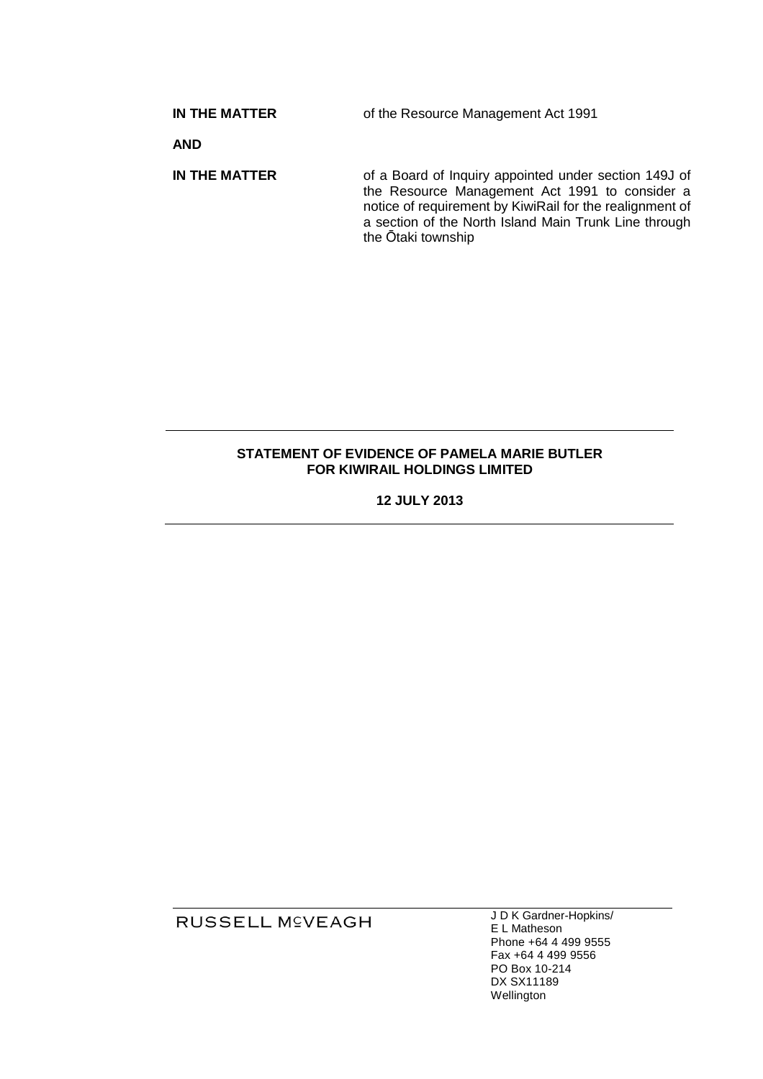**IN THE MATTER**

of the Resource Management Act 1991

**AND** 

**IN THE MATTER** of a Board of Inquiry appointed under section 149J of the Resource Management Act 1991 to consider a notice of requirement by KiwiRail for the realignment of a section of the North Island Main Trunk Line through the Ōtaki township

## **STATEMENT OF EVIDENCE OF PAMELA MARIE BUTLER FOR KIWIRAIL HOLDINGS LIMITED**

**12 JULY 2013** 

RUSSELL M<sup>C</sup>VEAGH

J D K Gardner Gardner-Hopkins/ E L Matheson Phone +64 4 499 9555 Fax +64 4 499 9556 PO Box 10- -214 DX SX11189 Wellington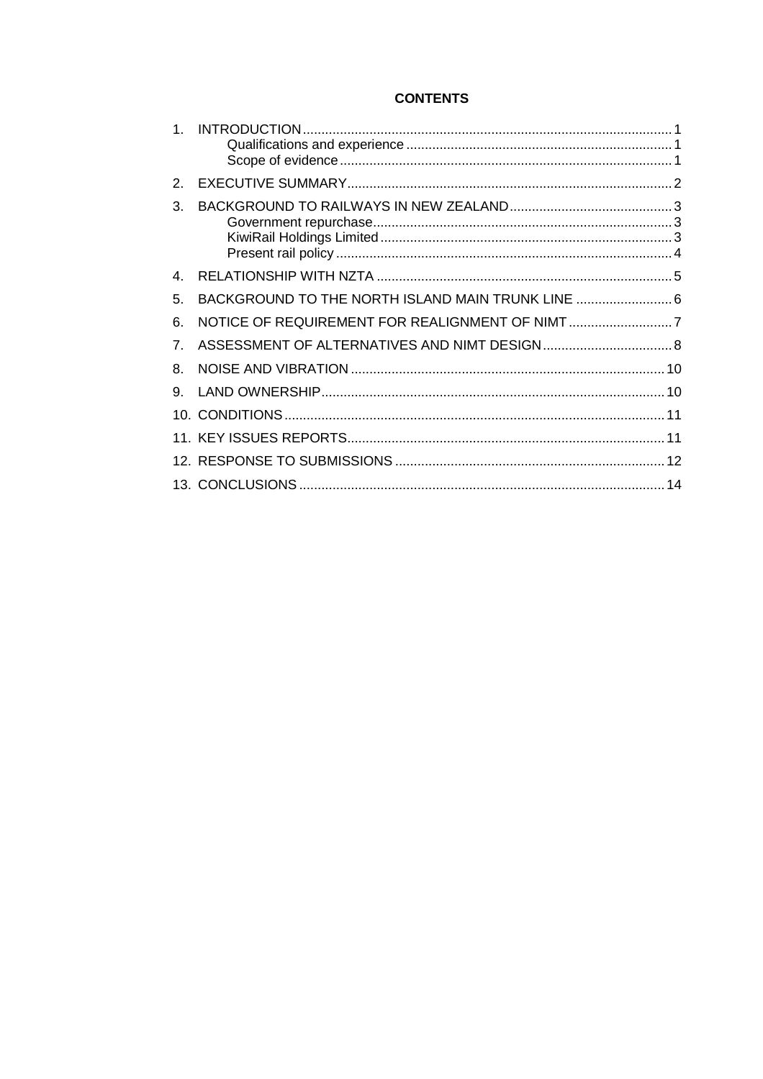# **CONTENTS**

| $\mathcal{P}$ |                                                |  |
|---------------|------------------------------------------------|--|
| 3.            |                                                |  |
|               |                                                |  |
| 4             |                                                |  |
| 5.            | BACKGROUND TO THE NORTH ISLAND MAIN TRUNK LINE |  |
| 6.            |                                                |  |
| 7.            |                                                |  |
| 8.            |                                                |  |
| 9.            |                                                |  |
|               |                                                |  |
|               |                                                |  |
|               |                                                |  |
|               |                                                |  |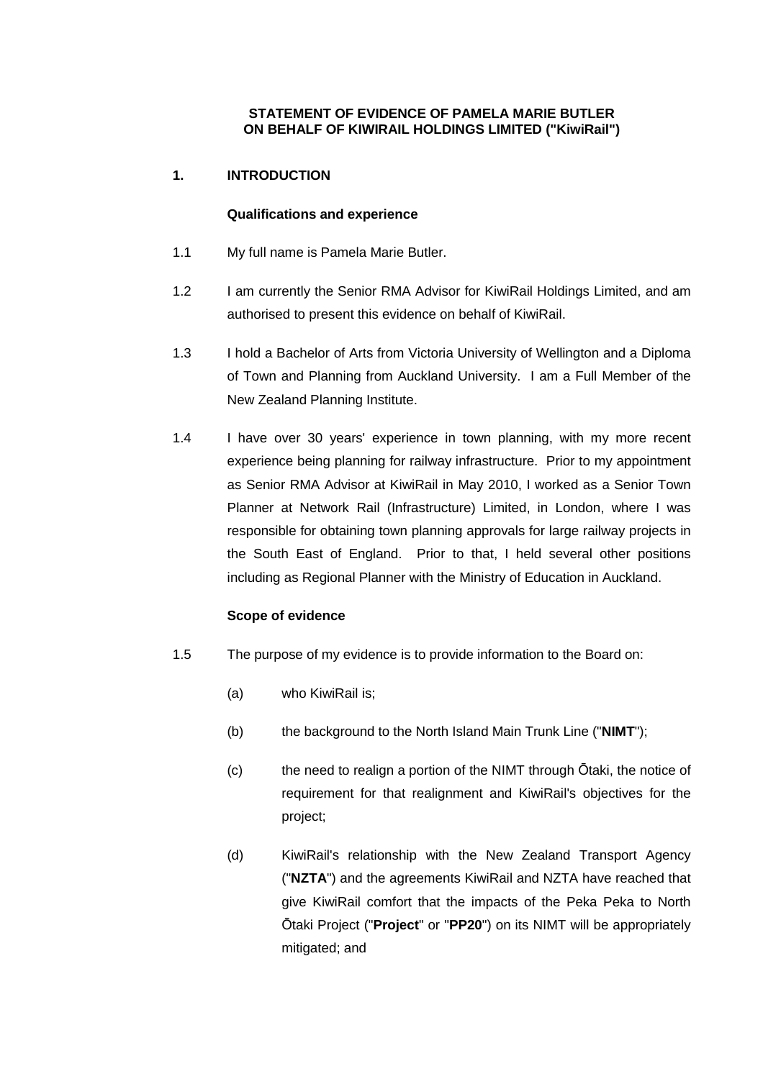## **STATEMENT OF EVIDENCE OF PAMELA MARIE BUTLER ON BEHALF OF KIWIRAIL HOLDINGS LIMITED ("KiwiRail")**

# **1. INTRODUCTION**

## **Qualifications and experience**

- 1.1 My full name is Pamela Marie Butler.
- 1.2 I am currently the Senior RMA Advisor for KiwiRail Holdings Limited, and am authorised to present this evidence on behalf of KiwiRail.
- 1.3 I hold a Bachelor of Arts from Victoria University of Wellington and a Diploma of Town and Planning from Auckland University. I am a Full Member of the New Zealand Planning Institute.
- 1.4 I have over 30 years' experience in town planning, with my more recent experience being planning for railway infrastructure. Prior to my appointment as Senior RMA Advisor at KiwiRail in May 2010, I worked as a Senior Town Planner at Network Rail (Infrastructure) Limited, in London, where I was responsible for obtaining town planning approvals for large railway projects in the South East of England. Prior to that, I held several other positions including as Regional Planner with the Ministry of Education in Auckland.

## **Scope of evidence**

- 1.5 The purpose of my evidence is to provide information to the Board on:
	- (a) who KiwiRail is;
	- (b) the background to the North Island Main Trunk Line ("**NIMT**");
	- (c) the need to realign a portion of the NIMT through Ōtaki, the notice of requirement for that realignment and KiwiRail's objectives for the project;
	- (d) KiwiRail's relationship with the New Zealand Transport Agency ("**NZTA**") and the agreements KiwiRail and NZTA have reached that give KiwiRail comfort that the impacts of the Peka Peka to North Ōtaki Project ("**Project**" or "**PP20**") on its NIMT will be appropriately mitigated; and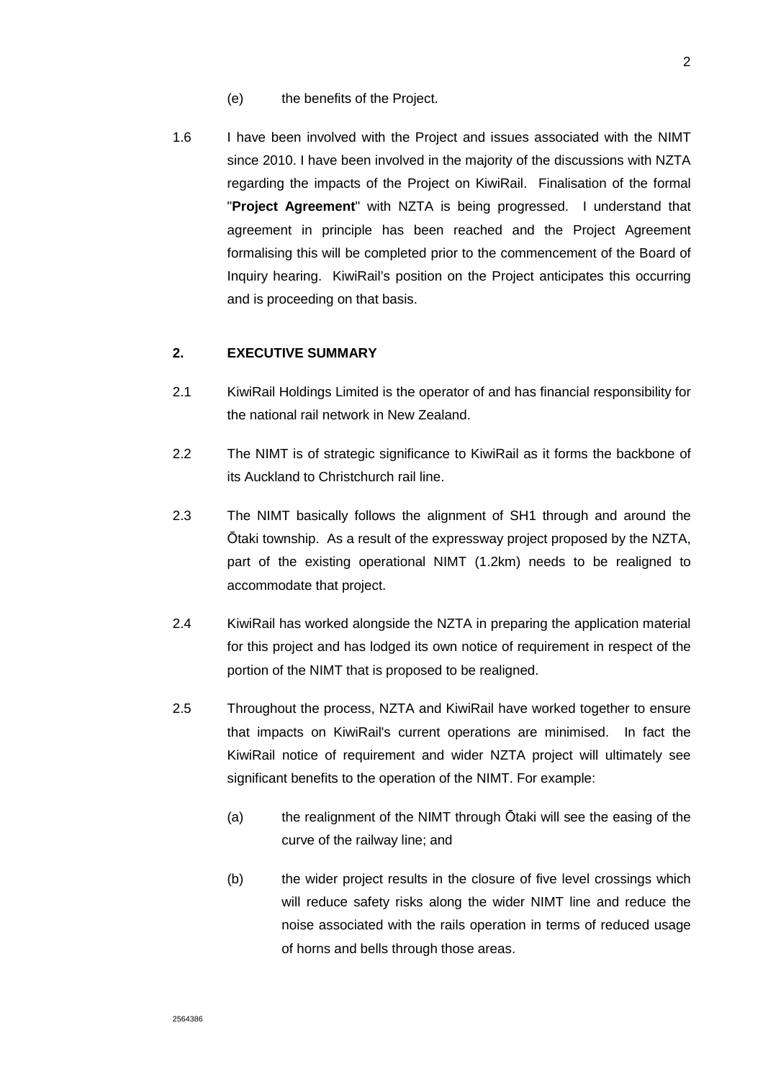- (e) the benefits of the Project.
- 1.6 I have been involved with the Project and issues associated with the NIMT since 2010. I have been involved in the majority of the discussions with NZTA regarding the impacts of the Project on KiwiRail. Finalisation of the formal "**Project Agreement**" with NZTA is being progressed. I understand that agreement in principle has been reached and the Project Agreement formalising this will be completed prior to the commencement of the Board of Inquiry hearing. KiwiRail's position on the Project anticipates this occurring and is proceeding on that basis.

### **2. EXECUTIVE SUMMARY**

- 2.1 KiwiRail Holdings Limited is the operator of and has financial responsibility for the national rail network in New Zealand.
- 2.2 The NIMT is of strategic significance to KiwiRail as it forms the backbone of its Auckland to Christchurch rail line.
- 2.3 The NIMT basically follows the alignment of SH1 through and around the Ōtaki township. As a result of the expressway project proposed by the NZTA, part of the existing operational NIMT (1.2km) needs to be realigned to accommodate that project.
- 2.4 KiwiRail has worked alongside the NZTA in preparing the application material for this project and has lodged its own notice of requirement in respect of the portion of the NIMT that is proposed to be realigned.
- 2.5 Throughout the process, NZTA and KiwiRail have worked together to ensure that impacts on KiwiRail's current operations are minimised. In fact the KiwiRail notice of requirement and wider NZTA project will ultimately see significant benefits to the operation of the NIMT. For example:
	- (a) the realignment of the NIMT through Ōtaki will see the easing of the curve of the railway line; and
	- (b) the wider project results in the closure of five level crossings which will reduce safety risks along the wider NIMT line and reduce the noise associated with the rails operation in terms of reduced usage of horns and bells through those areas.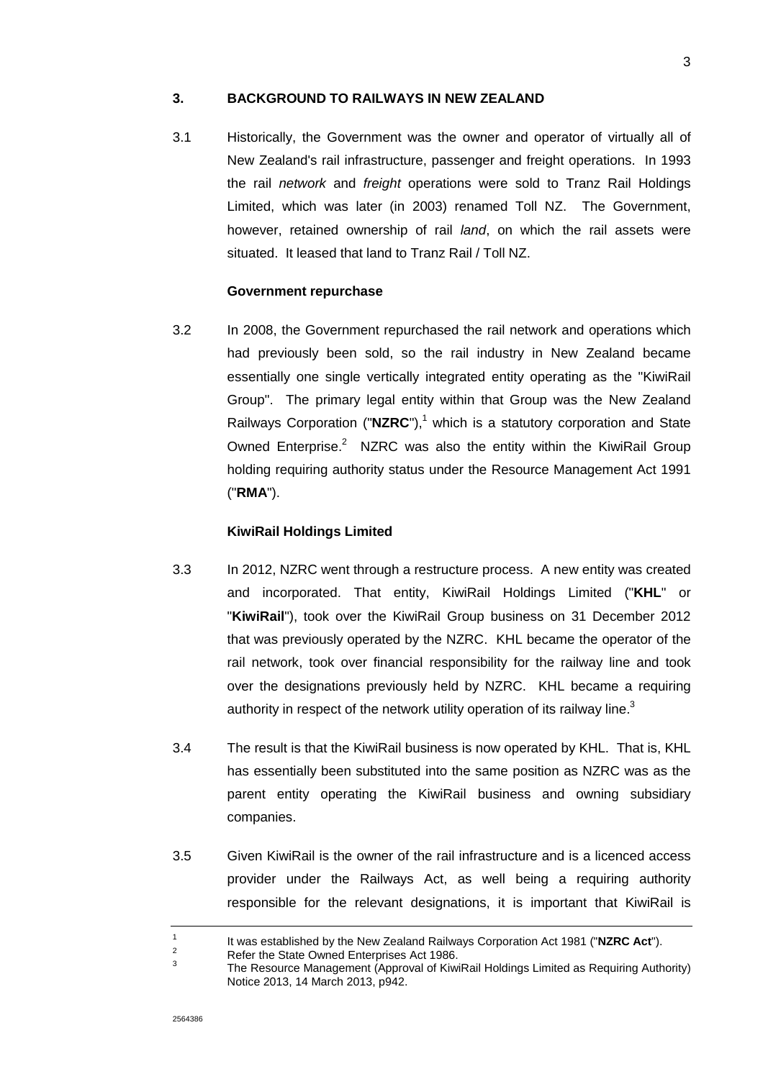## **3. BACKGROUND TO RAILWAYS IN NEW ZEALAND**

3.1 Historically, the Government was the owner and operator of virtually all of New Zealand's rail infrastructure, passenger and freight operations. In 1993 the rail network and freight operations were sold to Tranz Rail Holdings Limited, which was later (in 2003) renamed Toll NZ. The Government, however, retained ownership of rail *land*, on which the rail assets were situated. It leased that land to Tranz Rail / Toll NZ.

#### **Government repurchase**

3.2 In 2008, the Government repurchased the rail network and operations which had previously been sold, so the rail industry in New Zealand became essentially one single vertically integrated entity operating as the "KiwiRail Group". The primary legal entity within that Group was the New Zealand Railways Corporation  $("NZRC")$ ,<sup>1</sup> which is a statutory corporation and State Owned Enterprise. $2$  NZRC was also the entity within the KiwiRail Group holding requiring authority status under the Resource Management Act 1991 ("**RMA**").

#### **KiwiRail Holdings Limited**

- 3.3 In 2012, NZRC went through a restructure process. A new entity was created and incorporated. That entity, KiwiRail Holdings Limited ("**KHL**" or "**KiwiRail**"), took over the KiwiRail Group business on 31 December 2012 that was previously operated by the NZRC. KHL became the operator of the rail network, took over financial responsibility for the railway line and took over the designations previously held by NZRC. KHL became a requiring authority in respect of the network utility operation of its railway line.<sup>3</sup>
- 3.4 The result is that the KiwiRail business is now operated by KHL. That is, KHL has essentially been substituted into the same position as NZRC was as the parent entity operating the KiwiRail business and owning subsidiary companies.
- 3.5 Given KiwiRail is the owner of the rail infrastructure and is a licenced access provider under the Railways Act, as well being a requiring authority responsible for the relevant designations, it is important that KiwiRail is

<sup>1</sup> It was established by the New Zealand Railways Corporation Act 1981 ("**NZRC Act**").  $\overline{2}$ 

Refer the State Owned Enterprises Act 1986.

<sup>3</sup> The Resource Management (Approval of KiwiRail Holdings Limited as Requiring Authority) Notice 2013, 14 March 2013, p942.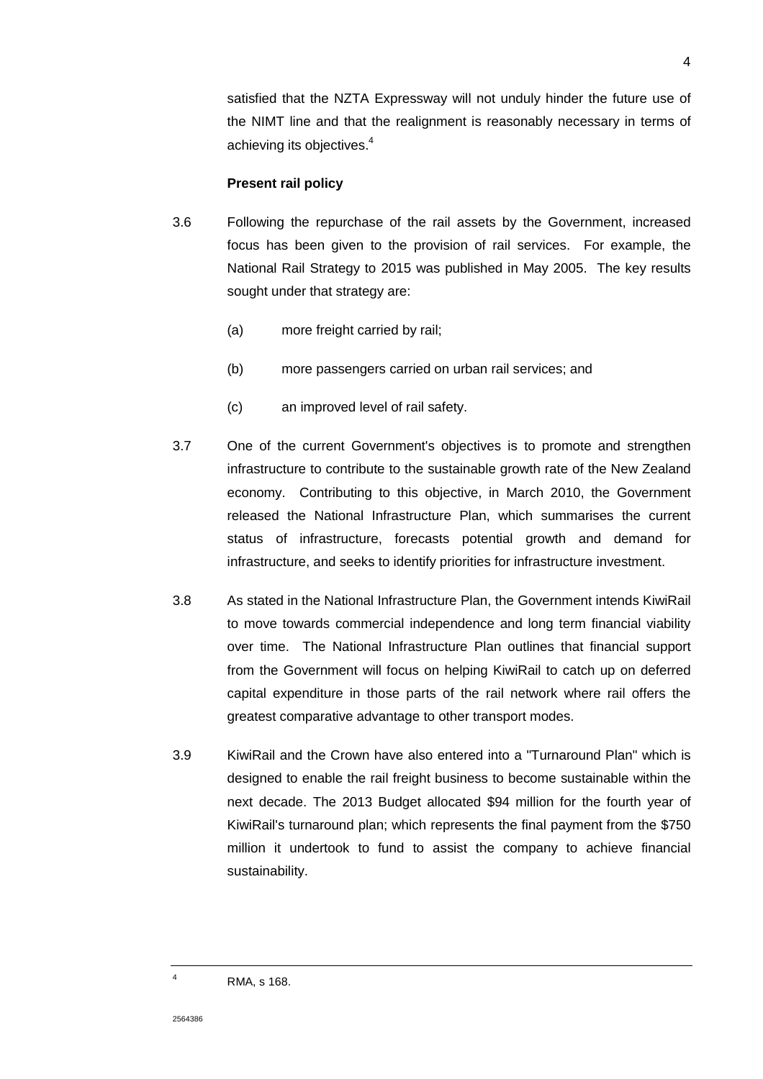satisfied that the NZTA Expressway will not unduly hinder the future use of the NIMT line and that the realignment is reasonably necessary in terms of achieving its objectives.<sup>4</sup>

#### **Present rail policy**

- 3.6 Following the repurchase of the rail assets by the Government, increased focus has been given to the provision of rail services. For example, the National Rail Strategy to 2015 was published in May 2005. The key results sought under that strategy are:
	- (a) more freight carried by rail;
	- (b) more passengers carried on urban rail services; and
	- (c) an improved level of rail safety.
- 3.7 One of the current Government's objectives is to promote and strengthen infrastructure to contribute to the sustainable growth rate of the New Zealand economy. Contributing to this objective, in March 2010, the Government released the National Infrastructure Plan, which summarises the current status of infrastructure, forecasts potential growth and demand for infrastructure, and seeks to identify priorities for infrastructure investment.
- 3.8 As stated in the National Infrastructure Plan, the Government intends KiwiRail to move towards commercial independence and long term financial viability over time. The National Infrastructure Plan outlines that financial support from the Government will focus on helping KiwiRail to catch up on deferred capital expenditure in those parts of the rail network where rail offers the greatest comparative advantage to other transport modes.
- 3.9 KiwiRail and the Crown have also entered into a "Turnaround Plan" which is designed to enable the rail freight business to become sustainable within the next decade. The 2013 Budget allocated \$94 million for the fourth year of KiwiRail's turnaround plan; which represents the final payment from the \$750 million it undertook to fund to assist the company to achieve financial sustainability.

2564386

4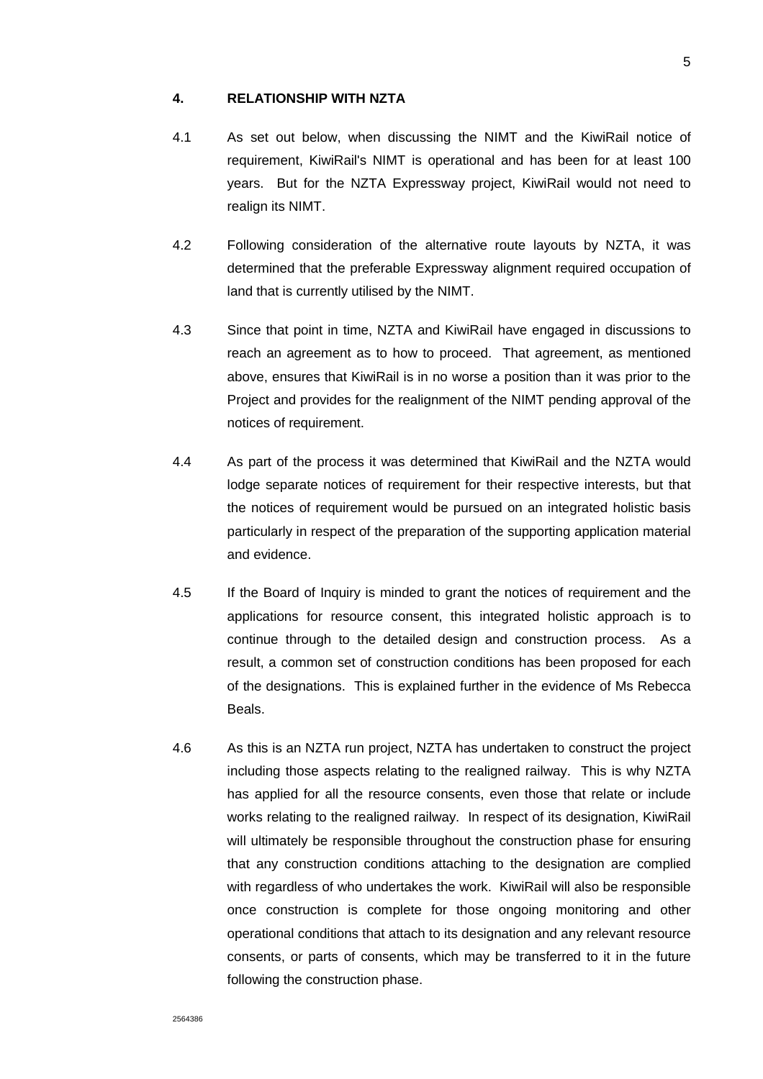#### **4. RELATIONSHIP WITH NZTA**

- 4.1 As set out below, when discussing the NIMT and the KiwiRail notice of requirement, KiwiRail's NIMT is operational and has been for at least 100 years. But for the NZTA Expressway project, KiwiRail would not need to realign its NIMT.
- 4.2 Following consideration of the alternative route layouts by NZTA, it was determined that the preferable Expressway alignment required occupation of land that is currently utilised by the NIMT.
- 4.3 Since that point in time, NZTA and KiwiRail have engaged in discussions to reach an agreement as to how to proceed. That agreement, as mentioned above, ensures that KiwiRail is in no worse a position than it was prior to the Project and provides for the realignment of the NIMT pending approval of the notices of requirement.
- 4.4 As part of the process it was determined that KiwiRail and the NZTA would lodge separate notices of requirement for their respective interests, but that the notices of requirement would be pursued on an integrated holistic basis particularly in respect of the preparation of the supporting application material and evidence.
- 4.5 If the Board of Inquiry is minded to grant the notices of requirement and the applications for resource consent, this integrated holistic approach is to continue through to the detailed design and construction process. As a result, a common set of construction conditions has been proposed for each of the designations. This is explained further in the evidence of Ms Rebecca Beals.
- 4.6 As this is an NZTA run project, NZTA has undertaken to construct the project including those aspects relating to the realigned railway. This is why NZTA has applied for all the resource consents, even those that relate or include works relating to the realigned railway. In respect of its designation, KiwiRail will ultimately be responsible throughout the construction phase for ensuring that any construction conditions attaching to the designation are complied with regardless of who undertakes the work. KiwiRail will also be responsible once construction is complete for those ongoing monitoring and other operational conditions that attach to its designation and any relevant resource consents, or parts of consents, which may be transferred to it in the future following the construction phase.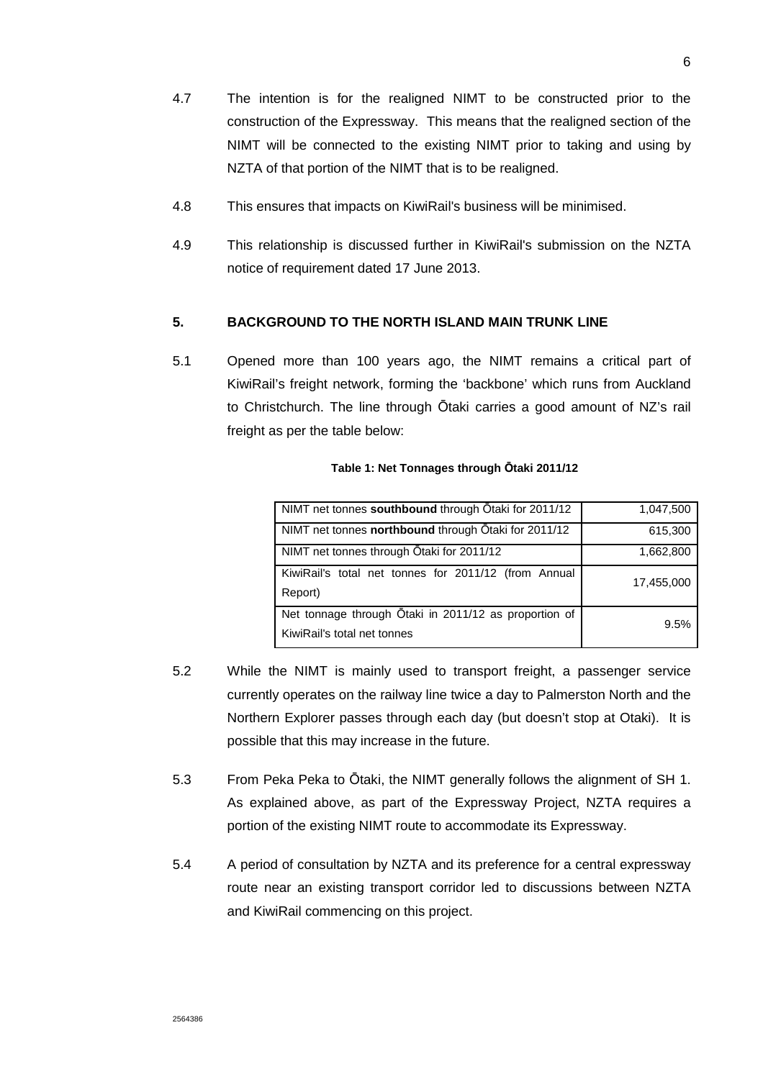- 4.7 The intention is for the realigned NIMT to be constructed prior to the construction of the Expressway. This means that the realigned section of the NIMT will be connected to the existing NIMT prior to taking and using by NZTA of that portion of the NIMT that is to be realigned.
- 4.8 This ensures that impacts on KiwiRail's business will be minimised.
- 4.9 This relationship is discussed further in KiwiRail's submission on the NZTA notice of requirement dated 17 June 2013.

## **5. BACKGROUND TO THE NORTH ISLAND MAIN TRUNK LINE**

5.1 Opened more than 100 years ago, the NIMT remains a critical part of KiwiRail's freight network, forming the 'backbone' which runs from Auckland to Christchurch. The line through Ōtaki carries a good amount of NZ's rail freight as per the table below:

| NIMT net tonnes southbound through Otaki for 2011/12                                 | 1,047,500  |
|--------------------------------------------------------------------------------------|------------|
| NIMT net tonnes <b>northbound</b> through Otaki for 2011/12                          | 615,300    |
| NIMT net tonnes through Otaki for 2011/12                                            | 1,662,800  |
| KiwiRail's total net tonnes for 2011/12 (from Annual<br>Report)                      | 17,455,000 |
| Net tonnage through Ōtaki in 2011/12 as proportion of<br>KiwiRail's total net tonnes | 9.5%       |

- 5.2 While the NIMT is mainly used to transport freight, a passenger service currently operates on the railway line twice a day to Palmerston North and the Northern Explorer passes through each day (but doesn't stop at Otaki). It is possible that this may increase in the future.
- 5.3 From Peka Peka to Ōtaki, the NIMT generally follows the alignment of SH 1. As explained above, as part of the Expressway Project, NZTA requires a portion of the existing NIMT route to accommodate its Expressway.
- 5.4 A period of consultation by NZTA and its preference for a central expressway route near an existing transport corridor led to discussions between NZTA and KiwiRail commencing on this project.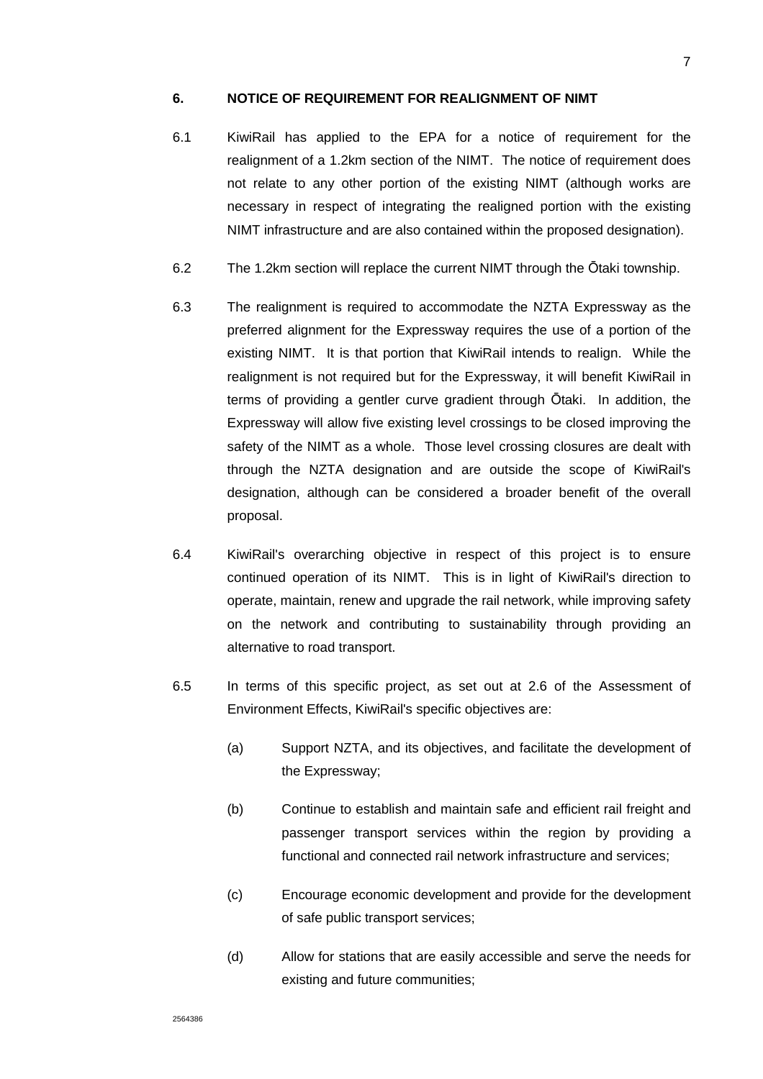#### **6. NOTICE OF REQUIREMENT FOR REALIGNMENT OF NIMT**

- 6.1 KiwiRail has applied to the EPA for a notice of requirement for the realignment of a 1.2km section of the NIMT. The notice of requirement does not relate to any other portion of the existing NIMT (although works are necessary in respect of integrating the realigned portion with the existing NIMT infrastructure and are also contained within the proposed designation).
- 6.2 The 1.2km section will replace the current NIMT through the Ōtaki township.
- 6.3 The realignment is required to accommodate the NZTA Expressway as the preferred alignment for the Expressway requires the use of a portion of the existing NIMT. It is that portion that KiwiRail intends to realign. While the realignment is not required but for the Expressway, it will benefit KiwiRail in terms of providing a gentler curve gradient through Ōtaki. In addition, the Expressway will allow five existing level crossings to be closed improving the safety of the NIMT as a whole. Those level crossing closures are dealt with through the NZTA designation and are outside the scope of KiwiRail's designation, although can be considered a broader benefit of the overall proposal.
- 6.4 KiwiRail's overarching objective in respect of this project is to ensure continued operation of its NIMT. This is in light of KiwiRail's direction to operate, maintain, renew and upgrade the rail network, while improving safety on the network and contributing to sustainability through providing an alternative to road transport.
- 6.5 In terms of this specific project, as set out at 2.6 of the Assessment of Environment Effects, KiwiRail's specific objectives are:
	- (a) Support NZTA, and its objectives, and facilitate the development of the Expressway;
	- (b) Continue to establish and maintain safe and efficient rail freight and passenger transport services within the region by providing a functional and connected rail network infrastructure and services;
	- (c) Encourage economic development and provide for the development of safe public transport services;
	- (d) Allow for stations that are easily accessible and serve the needs for existing and future communities;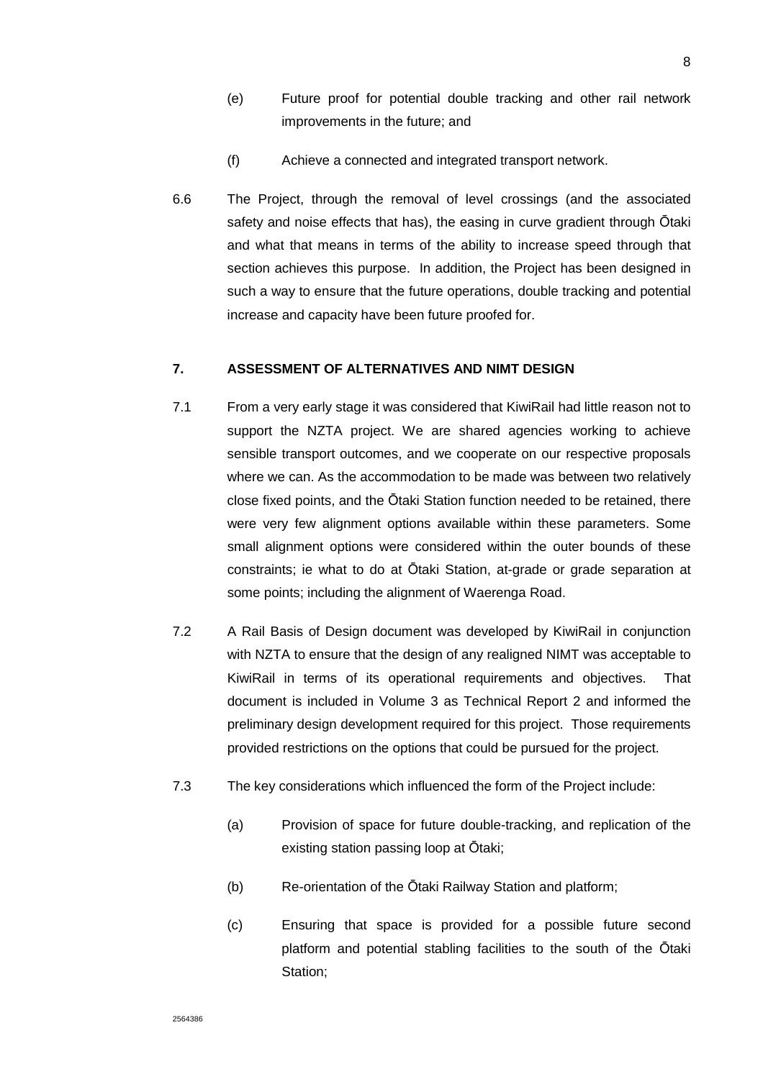- (e) Future proof for potential double tracking and other rail network improvements in the future; and
- (f) Achieve a connected and integrated transport network.
- 6.6 The Project, through the removal of level crossings (and the associated safety and noise effects that has), the easing in curve gradient through Ōtaki and what that means in terms of the ability to increase speed through that section achieves this purpose. In addition, the Project has been designed in such a way to ensure that the future operations, double tracking and potential increase and capacity have been future proofed for.

## **7. ASSESSMENT OF ALTERNATIVES AND NIMT DESIGN**

- 7.1 From a very early stage it was considered that KiwiRail had little reason not to support the NZTA project. We are shared agencies working to achieve sensible transport outcomes, and we cooperate on our respective proposals where we can. As the accommodation to be made was between two relatively close fixed points, and the Ōtaki Station function needed to be retained, there were very few alignment options available within these parameters. Some small alignment options were considered within the outer bounds of these constraints; ie what to do at Ōtaki Station, at-grade or grade separation at some points; including the alignment of Waerenga Road.
- 7.2 A Rail Basis of Design document was developed by KiwiRail in conjunction with NZTA to ensure that the design of any realigned NIMT was acceptable to KiwiRail in terms of its operational requirements and objectives. That document is included in Volume 3 as Technical Report 2 and informed the preliminary design development required for this project. Those requirements provided restrictions on the options that could be pursued for the project.
- 7.3 The key considerations which influenced the form of the Project include:
	- (a) Provision of space for future double-tracking, and replication of the existing station passing loop at Ōtaki;
	- (b) Re-orientation of the Ōtaki Railway Station and platform;
	- (c) Ensuring that space is provided for a possible future second platform and potential stabling facilities to the south of the Ōtaki Station;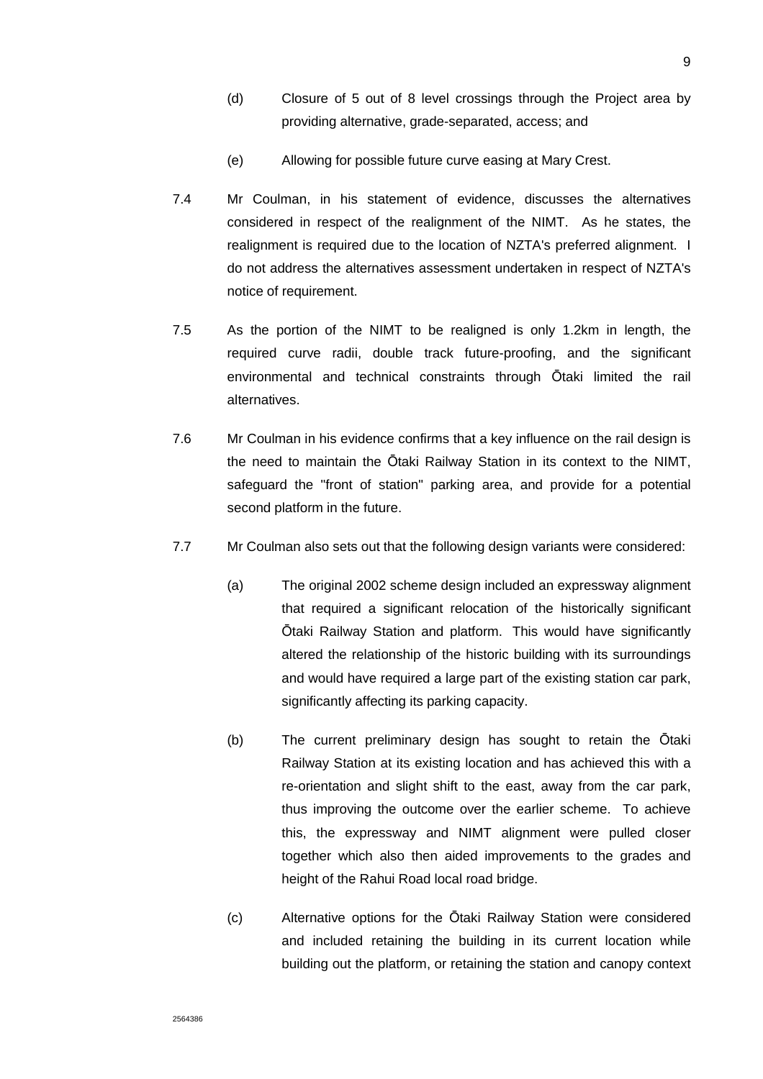- (d) Closure of 5 out of 8 level crossings through the Project area by providing alternative, grade-separated, access; and
- (e) Allowing for possible future curve easing at Mary Crest.
- 7.4 Mr Coulman, in his statement of evidence, discusses the alternatives considered in respect of the realignment of the NIMT. As he states, the realignment is required due to the location of NZTA's preferred alignment. I do not address the alternatives assessment undertaken in respect of NZTA's notice of requirement.
- 7.5 As the portion of the NIMT to be realigned is only 1.2km in length, the required curve radii, double track future-proofing, and the significant environmental and technical constraints through Ōtaki limited the rail alternatives.
- 7.6 Mr Coulman in his evidence confirms that a key influence on the rail design is the need to maintain the Ōtaki Railway Station in its context to the NIMT, safeguard the "front of station" parking area, and provide for a potential second platform in the future.
- 7.7 Mr Coulman also sets out that the following design variants were considered:
	- (a) The original 2002 scheme design included an expressway alignment that required a significant relocation of the historically significant Ōtaki Railway Station and platform. This would have significantly altered the relationship of the historic building with its surroundings and would have required a large part of the existing station car park, significantly affecting its parking capacity.
	- (b) The current preliminary design has sought to retain the Ōtaki Railway Station at its existing location and has achieved this with a re-orientation and slight shift to the east, away from the car park, thus improving the outcome over the earlier scheme. To achieve this, the expressway and NIMT alignment were pulled closer together which also then aided improvements to the grades and height of the Rahui Road local road bridge.
	- (c) Alternative options for the Ōtaki Railway Station were considered and included retaining the building in its current location while building out the platform, or retaining the station and canopy context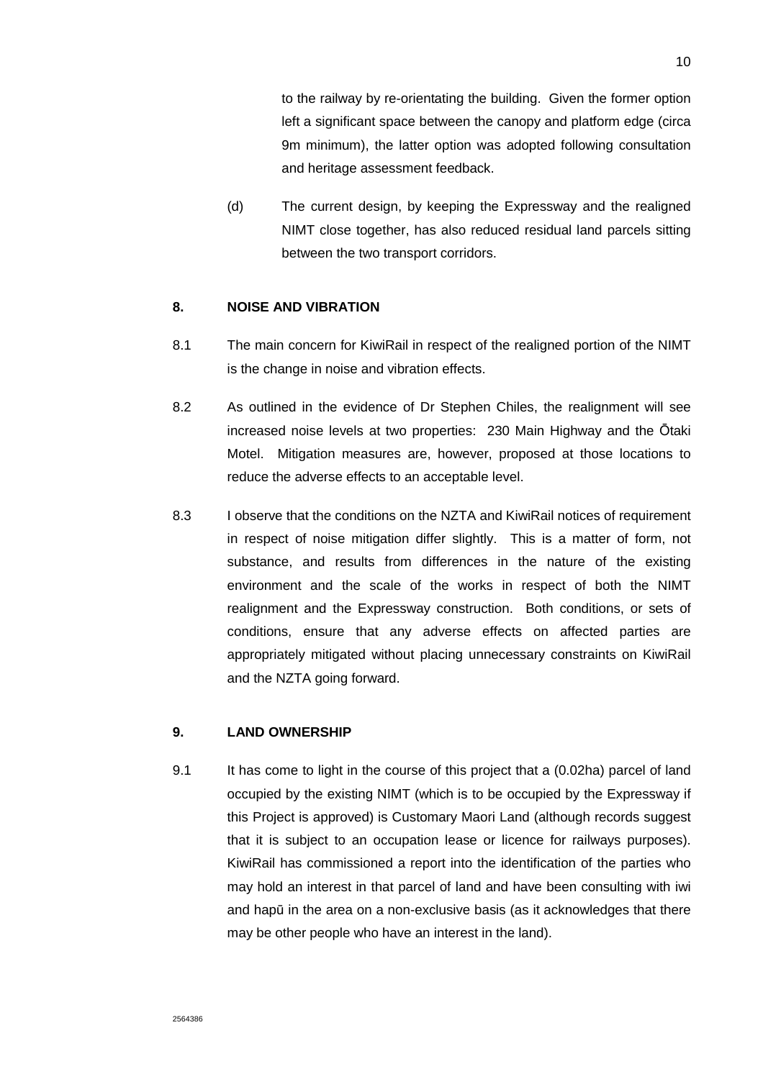to the railway by re-orientating the building. Given the former option left a significant space between the canopy and platform edge (circa 9m minimum), the latter option was adopted following consultation and heritage assessment feedback.

(d) The current design, by keeping the Expressway and the realigned NIMT close together, has also reduced residual land parcels sitting between the two transport corridors.

## **8. NOISE AND VIBRATION**

- 8.1 The main concern for KiwiRail in respect of the realigned portion of the NIMT is the change in noise and vibration effects.
- 8.2 As outlined in the evidence of Dr Stephen Chiles, the realignment will see increased noise levels at two properties: 230 Main Highway and the Ōtaki Motel. Mitigation measures are, however, proposed at those locations to reduce the adverse effects to an acceptable level.
- 8.3 I observe that the conditions on the NZTA and KiwiRail notices of requirement in respect of noise mitigation differ slightly. This is a matter of form, not substance, and results from differences in the nature of the existing environment and the scale of the works in respect of both the NIMT realignment and the Expressway construction. Both conditions, or sets of conditions, ensure that any adverse effects on affected parties are appropriately mitigated without placing unnecessary constraints on KiwiRail and the NZTA going forward.

## **9. LAND OWNERSHIP**

9.1 It has come to light in the course of this project that a (0.02ha) parcel of land occupied by the existing NIMT (which is to be occupied by the Expressway if this Project is approved) is Customary Maori Land (although records suggest that it is subject to an occupation lease or licence for railways purposes). KiwiRail has commissioned a report into the identification of the parties who may hold an interest in that parcel of land and have been consulting with iwi and hapū in the area on a non-exclusive basis (as it acknowledges that there may be other people who have an interest in the land).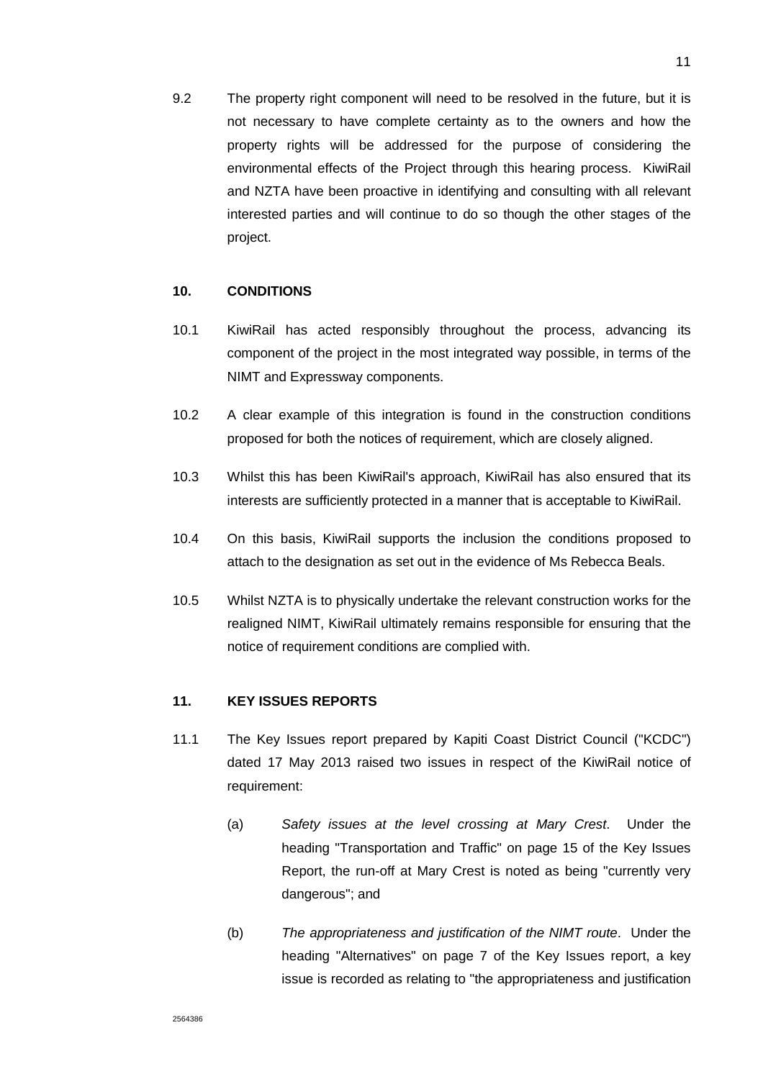9.2 The property right component will need to be resolved in the future, but it is not necessary to have complete certainty as to the owners and how the property rights will be addressed for the purpose of considering the environmental effects of the Project through this hearing process. KiwiRail and NZTA have been proactive in identifying and consulting with all relevant interested parties and will continue to do so though the other stages of the project.

## **10. CONDITIONS**

- 10.1 KiwiRail has acted responsibly throughout the process, advancing its component of the project in the most integrated way possible, in terms of the NIMT and Expressway components.
- 10.2 A clear example of this integration is found in the construction conditions proposed for both the notices of requirement, which are closely aligned.
- 10.3 Whilst this has been KiwiRail's approach, KiwiRail has also ensured that its interests are sufficiently protected in a manner that is acceptable to KiwiRail.
- 10.4 On this basis, KiwiRail supports the inclusion the conditions proposed to attach to the designation as set out in the evidence of Ms Rebecca Beals.
- 10.5 Whilst NZTA is to physically undertake the relevant construction works for the realigned NIMT, KiwiRail ultimately remains responsible for ensuring that the notice of requirement conditions are complied with.

## **11. KEY ISSUES REPORTS**

- 11.1 The Key Issues report prepared by Kapiti Coast District Council ("KCDC") dated 17 May 2013 raised two issues in respect of the KiwiRail notice of requirement:
	- (a) Safety issues at the level crossing at Mary Crest. Under the heading "Transportation and Traffic" on page 15 of the Key Issues Report, the run-off at Mary Crest is noted as being "currently very dangerous"; and
	- (b) The appropriateness and justification of the NIMT route. Under the heading "Alternatives" on page 7 of the Key Issues report, a key issue is recorded as relating to "the appropriateness and justification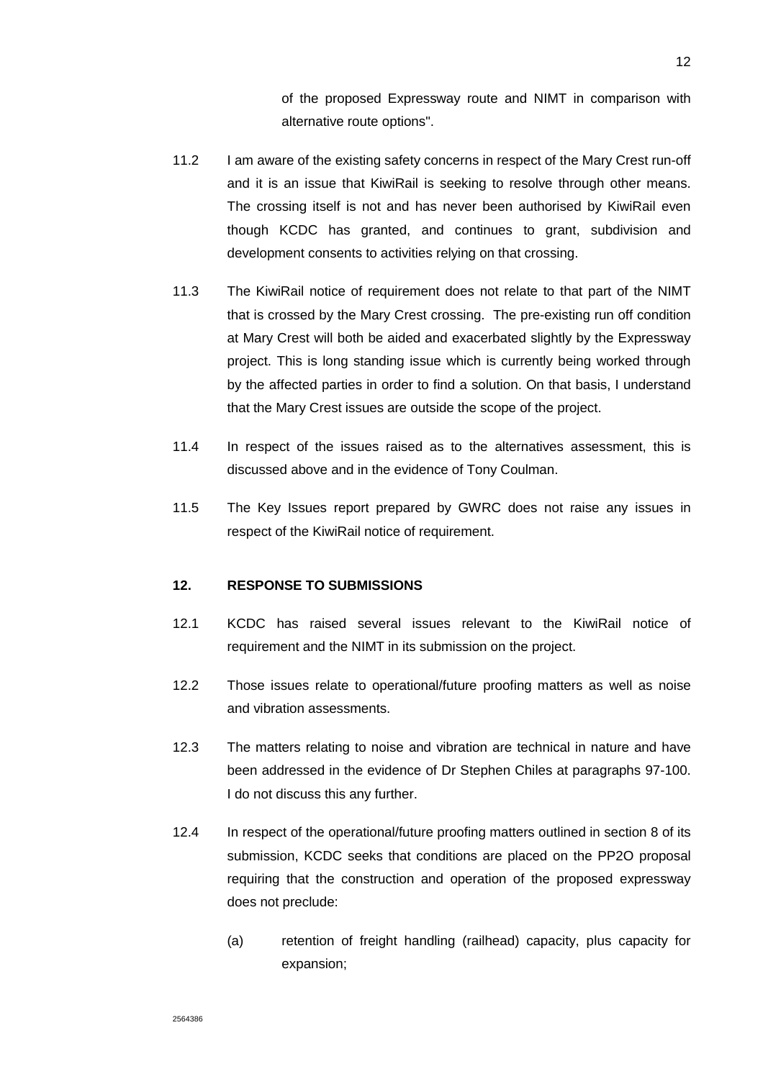of the proposed Expressway route and NIMT in comparison with alternative route options".

- 11.2 I am aware of the existing safety concerns in respect of the Mary Crest run-off and it is an issue that KiwiRail is seeking to resolve through other means. The crossing itself is not and has never been authorised by KiwiRail even though KCDC has granted, and continues to grant, subdivision and development consents to activities relying on that crossing.
- 11.3 The KiwiRail notice of requirement does not relate to that part of the NIMT that is crossed by the Mary Crest crossing. The pre-existing run off condition at Mary Crest will both be aided and exacerbated slightly by the Expressway project. This is long standing issue which is currently being worked through by the affected parties in order to find a solution. On that basis, I understand that the Mary Crest issues are outside the scope of the project.
- 11.4 In respect of the issues raised as to the alternatives assessment, this is discussed above and in the evidence of Tony Coulman.
- 11.5 The Key Issues report prepared by GWRC does not raise any issues in respect of the KiwiRail notice of requirement.

## **12. RESPONSE TO SUBMISSIONS**

- 12.1 KCDC has raised several issues relevant to the KiwiRail notice of requirement and the NIMT in its submission on the project.
- 12.2 Those issues relate to operational/future proofing matters as well as noise and vibration assessments.
- 12.3 The matters relating to noise and vibration are technical in nature and have been addressed in the evidence of Dr Stephen Chiles at paragraphs 97-100. I do not discuss this any further.
- 12.4 In respect of the operational/future proofing matters outlined in section 8 of its submission, KCDC seeks that conditions are placed on the PP2O proposal requiring that the construction and operation of the proposed expressway does not preclude:
	- (a) retention of freight handling (railhead) capacity, plus capacity for expansion;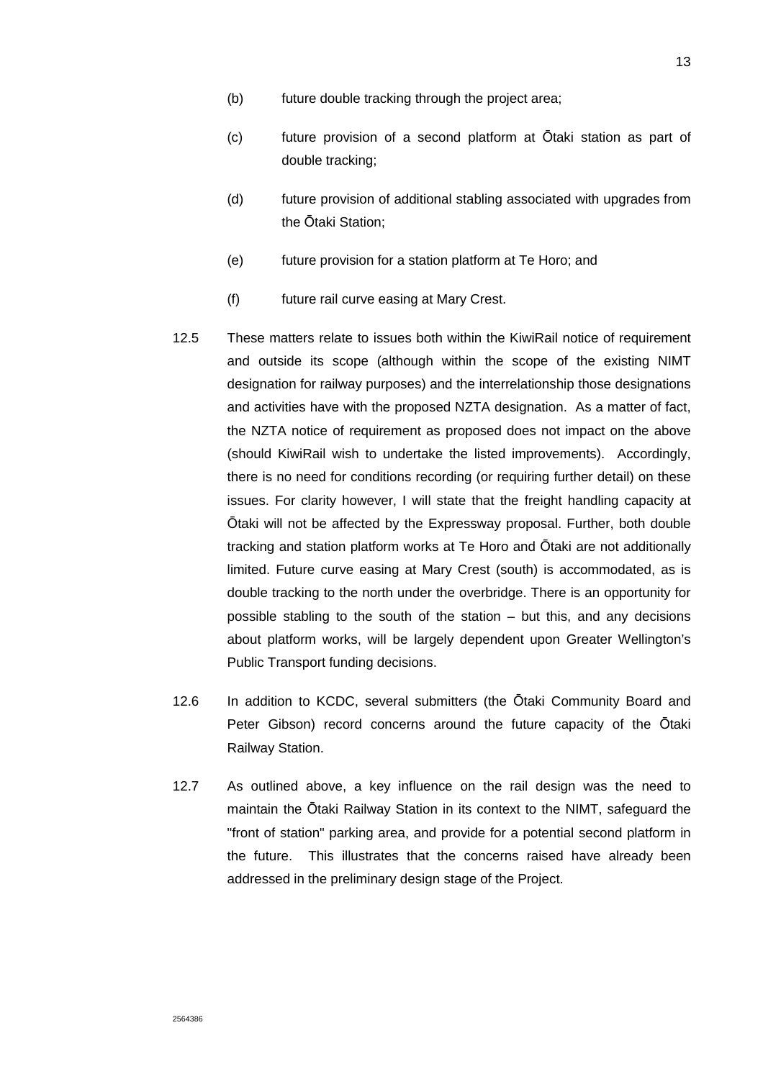- (b) future double tracking through the project area;
- (c) future provision of a second platform at Ōtaki station as part of double tracking;
- (d) future provision of additional stabling associated with upgrades from the Ōtaki Station;
- (e) future provision for a station platform at Te Horo; and
- (f) future rail curve easing at Mary Crest.
- 12.5 These matters relate to issues both within the KiwiRail notice of requirement and outside its scope (although within the scope of the existing NIMT designation for railway purposes) and the interrelationship those designations and activities have with the proposed NZTA designation. As a matter of fact, the NZTA notice of requirement as proposed does not impact on the above (should KiwiRail wish to undertake the listed improvements). Accordingly, there is no need for conditions recording (or requiring further detail) on these issues. For clarity however, I will state that the freight handling capacity at Ōtaki will not be affected by the Expressway proposal. Further, both double tracking and station platform works at Te Horo and Ōtaki are not additionally limited. Future curve easing at Mary Crest (south) is accommodated, as is double tracking to the north under the overbridge. There is an opportunity for possible stabling to the south of the station – but this, and any decisions about platform works, will be largely dependent upon Greater Wellington's Public Transport funding decisions.
- 12.6 In addition to KCDC, several submitters (the Ōtaki Community Board and Peter Gibson) record concerns around the future capacity of the Ōtaki Railway Station.
- 12.7 As outlined above, a key influence on the rail design was the need to maintain the Ōtaki Railway Station in its context to the NIMT, safeguard the "front of station" parking area, and provide for a potential second platform in the future. This illustrates that the concerns raised have already been addressed in the preliminary design stage of the Project.